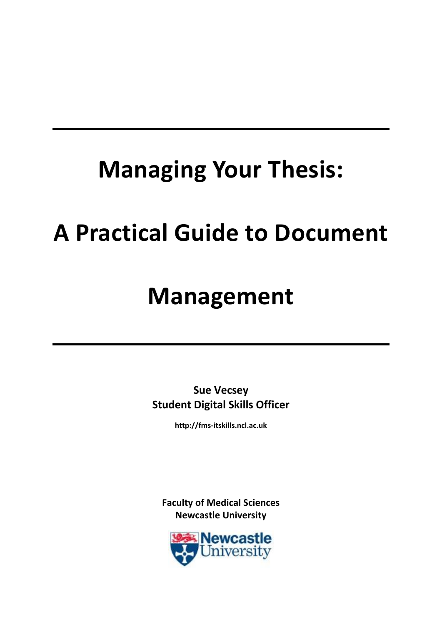# **Managing Your Thesis:**

# **A Practical Guide to Document**

# **Management**

**Sue Vecsey Student Digital Skills Officer**

**http://fms-itskills.ncl.ac.uk**

<span id="page-0-0"></span>**Faculty of Medical Sciences Newcastle University**

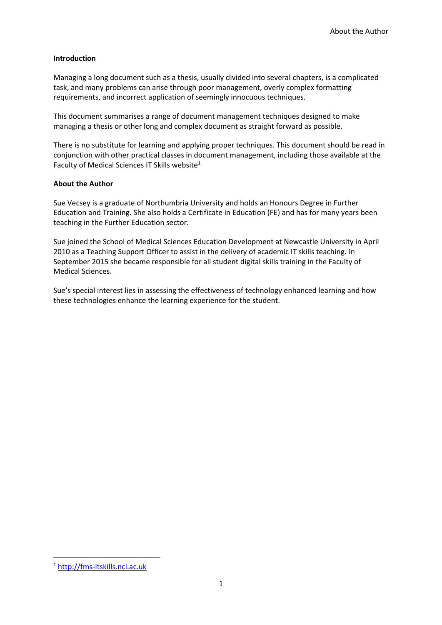#### **Introduction**

Managing a long document such as a thesis, usually divided into several chapters, is a complicated task, and many problems can arise through poor management, overly complex formatting requirements, and incorrect application of seemingly innocuous techniques.

This document summarises a range of document management techniques designed to make managing a thesis or other long and complex document as straight forward as possible.

There is no substitute for learning and applying proper techniques. This document should be read in conjunction with other practical classes in document management, including those available at the Faculty of Medical Sciences IT Skills website<sup>1</sup>

#### **About the Author**

Sue Vecsey is a graduate of Northumbria University and holds an Honours Degree in Further Education and Training. She also holds a Certificate in Education (FE) and has for many years been teaching in the Further Education sector.

Sue joined the School of Medical Sciences Education Development at Newcastle University in April 2010 as a Teaching Support Officer to assist in the delivery of academic IT skills teaching. In September 2015 she became responsible for all student digital skills training in the Faculty of Medical Sciences.

Sue's special interest lies in assessing the effectiveness of technology enhanced learning and how these technologies enhance the learning experience for the student.

**.** 

<sup>1</sup> [http://fms-itskills.ncl.ac.uk](http://fms-itskills.ncl.ac.uk/)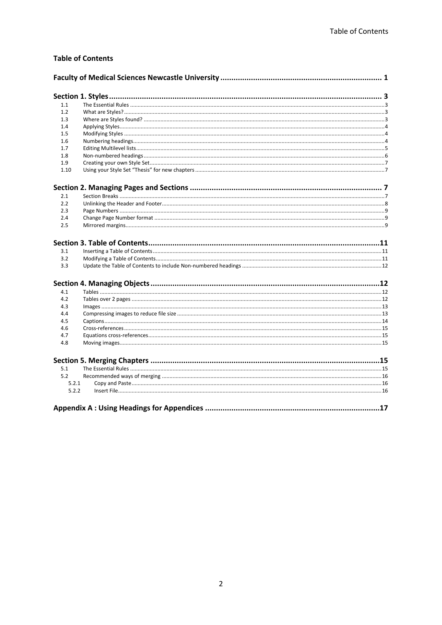#### **Table of Contents**

| 1.1   |  |
|-------|--|
| 1.2   |  |
| 1.3   |  |
| 1.4   |  |
| 1.5   |  |
| 1.6   |  |
| 1.7   |  |
| 1.8   |  |
| 1.9   |  |
| 1.10  |  |
|       |  |
| 2.1   |  |
| 2.2   |  |
| 2.3   |  |
| 2.4   |  |
| 2.5   |  |
|       |  |
|       |  |
| 3.1   |  |
| 3.2   |  |
| 3.3   |  |
|       |  |
| 4.1   |  |
| 4.2   |  |
| 4.3   |  |
| 4.4   |  |
| 4.5   |  |
| 4.6   |  |
| 4.7   |  |
| 4.8   |  |
|       |  |
| 5.1   |  |
| 5.2   |  |
| 5.2.1 |  |
| 5.2.2 |  |
|       |  |
|       |  |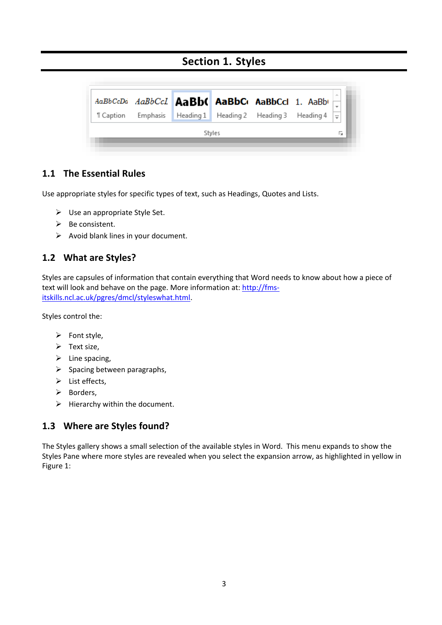# **Section 1. Styles**

<span id="page-3-0"></span>

## <span id="page-3-1"></span>**1.1 The Essential Rules**

Use appropriate styles for specific types of text, such as Headings, Quotes and Lists.

- $\triangleright$  Use an appropriate Style Set.
- $\triangleright$  Be consistent.
- $\triangleright$  Avoid blank lines in your document.

#### <span id="page-3-2"></span>**1.2 What are Styles?**

Styles are capsules of information that contain everything that Word needs to know about how a piece of text will look and behave on the page. More information at: [http://fms](http://fms-itskills.ncl.ac.uk/pgres/dmcl/styleswhat.html)[itskills.ncl.ac.uk/pgres/dmcl/styleswhat.html.](http://fms-itskills.ncl.ac.uk/pgres/dmcl/styleswhat.html)

Styles control the:

- $\triangleright$  Font style,
- $\triangleright$  Text size,
- $\triangleright$  Line spacing,
- $\triangleright$  Spacing between paragraphs,
- $\triangleright$  List effects,
- $\triangleright$  Borders.
- $\triangleright$  Hierarchy within the document.

#### <span id="page-3-3"></span>**1.3 Where are Styles found?**

The Styles gallery shows a small selection of the available styles in Word. This menu expands to show the Styles Pane where more styles are revealed when you select the expansion arrow, as highlighted in yellow in [Figure 1:](#page-4-3)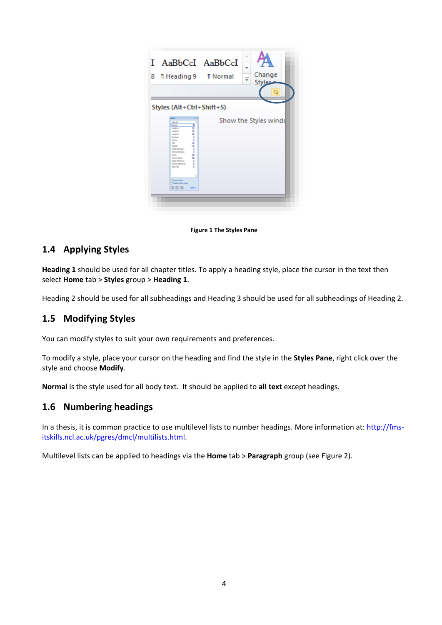| I AaBbCcI AaBbCcI<br>8.<br><b>THeading 9 THormal</b><br>Styles (Alt+Ctrl+Shift+S)                                                                                                                                                                                                                                                                                                                                                                                              | ă.<br>÷<br>Change<br>$\overline{\phantom{a}}$<br><b>Styles-</b><br>Б |
|--------------------------------------------------------------------------------------------------------------------------------------------------------------------------------------------------------------------------------------------------------------------------------------------------------------------------------------------------------------------------------------------------------------------------------------------------------------------------------|----------------------------------------------------------------------|
| .<br><b>Deal of</b><br><b>Service</b><br>۰<br>u<br>Hodrig 1<br>working 2<br>u<br>ы<br>visualing. 3<br>٠<br><b>Employees</b><br>٠<br><b>Doney</b><br>u<br>Tap <sub>1</sub><br>u<br><b>Limits</b><br>Silkle Workers<br>٠<br>٠<br><b><i>Florida Brightonia</i></b><br>Sale<br>ы<br>u<br><b>Interest Quality</b><br><b>Look Fallenman</b><br>٠<br><b>Johnson Raillerson</b><br>٠<br><b>Book Title</b><br>٠<br><b>This mass</b><br><b>Thinkle international</b><br>图 图 图<br>Gallery | Show the Styles wind                                                 |

**Figure 1 The Styles Pane**

## <span id="page-4-3"></span><span id="page-4-0"></span>**1.4 Applying Styles**

**Heading 1** should be used for all chapter titles. To apply a heading style, place the cursor in the text then select **Home** tab > **Styles** group > **Heading 1**.

Heading 2 should be used for all subheadings and Heading 3 should be used for all subheadings of Heading 2.

#### <span id="page-4-1"></span>**1.5 Modifying Styles**

You can modify styles to suit your own requirements and preferences.

To modify a style, place your cursor on the heading and find the style in the **Styles Pane**, right click over the style and choose **Modify**.

**Normal** is the style used for all body text. It should be applied to **all text** except headings.

#### <span id="page-4-2"></span>**1.6 Numbering headings**

In a thesis, it is common practice to use multilevel lists to number headings. More information at: [http://fms](http://fms-itskills.ncl.ac.uk/pgres/dmcl/multilists.html)[itskills.ncl.ac.uk/pgres/dmcl/multilists.html.](http://fms-itskills.ncl.ac.uk/pgres/dmcl/multilists.html)

Multilevel lists can be applied to headings via the **Home** tab > **Paragraph** group (see [Figure 2\)](#page-5-1).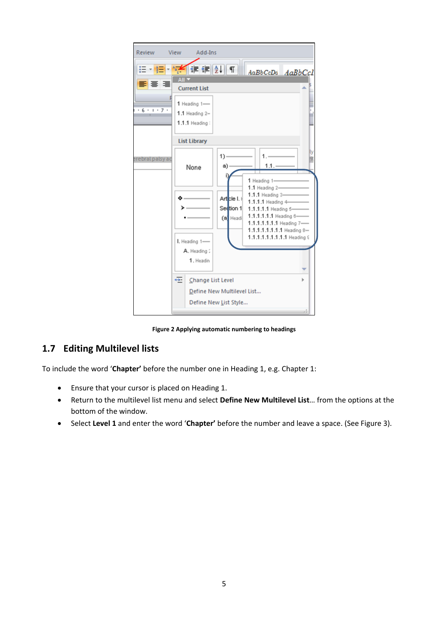

**Figure 2 Applying automatic numbering to headings**

#### <span id="page-5-1"></span><span id="page-5-0"></span>**1.7 Editing Multilevel lists**

To include the word '**Chapter'** before the number one in Heading 1, e.g. Chapter 1:

- Ensure that your cursor is placed on Heading 1.
- Return to the multilevel list menu and select **Define New Multilevel List**… from the options at the bottom of the window.
- Select **Level 1** and enter the word '**Chapter'** before the number and leave a space. (See [Figure 3\)](#page-6-1).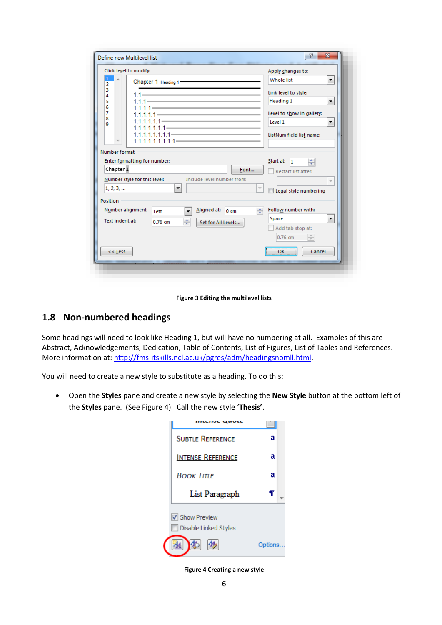|                   | Click level to modify:       |                                                                                                                                                                                                                                                                                                                  |                            |                       | Apply changes to:              |                          |
|-------------------|------------------------------|------------------------------------------------------------------------------------------------------------------------------------------------------------------------------------------------------------------------------------------------------------------------------------------------------------------|----------------------------|-----------------------|--------------------------------|--------------------------|
| $\mathbf{1}$<br>2 |                              | Chapter 1 Heading 1 - The Chapter 1 Heading 1                                                                                                                                                                                                                                                                    |                            |                       | <b>Whole list</b>              | ۰                        |
| 3<br>4            |                              | $1.1 - 1.1$                                                                                                                                                                                                                                                                                                      |                            |                       | Link level to style:           |                          |
| 5                 |                              | $1.1.1  \frac{1}{2}$ $\frac{1}{2}$ $\frac{1}{2}$ $\frac{1}{2}$ $\frac{1}{2}$ $\frac{1}{2}$ $\frac{1}{2}$ $\frac{1}{2}$ $\frac{1}{2}$ $\frac{1}{2}$ $\frac{1}{2}$ $\frac{1}{2}$ $\frac{1}{2}$ $\frac{1}{2}$ $\frac{1}{2}$ $\frac{1}{2}$ $\frac{1}{2}$ $\frac{1}{2}$ $\frac{1}{2}$ $\frac{1}{2}$ $\frac{1}{2}$ $\$ |                            |                       | Heading 1                      | ▼                        |
| 6<br>7            |                              | $1.1.1.1  1.1.1  1.1.1  1.1.1  1.1.1  1.1.1  1.1.1  1.1.1  1.1.1  1.1.1  1.1.1  1.1.1  1.1.1  1.1.1  1.1.1  1.1.1 -$                                                                                                                                                                                             |                            |                       | Level to show in gallery:      |                          |
| 8<br>9            |                              |                                                                                                                                                                                                                                                                                                                  |                            |                       | Level 1                        | ▼                        |
|                   |                              | $1.1.1.1.1.1.1 -$<br>$1.1.1.1.1.1.1.1 =$                                                                                                                                                                                                                                                                         |                            |                       | ListNum field list name:       |                          |
| Number format     |                              |                                                                                                                                                                                                                                                                                                                  |                            |                       |                                |                          |
|                   | Enter formatting for number: |                                                                                                                                                                                                                                                                                                                  |                            |                       | Start at:<br>÷<br>$\mathbf{1}$ |                          |
| Chapter 1         |                              |                                                                                                                                                                                                                                                                                                                  |                            | Font                  | Restart list after:            |                          |
|                   | Number style for this level: |                                                                                                                                                                                                                                                                                                                  | Include level number from: |                       |                                | $\overline{\phantom{a}}$ |
| 1, 2, 3,          |                              | ▼                                                                                                                                                                                                                                                                                                                |                            |                       | Legal style numbering          |                          |
| Position          |                              |                                                                                                                                                                                                                                                                                                                  |                            |                       |                                |                          |
|                   | Number alignment:            | $\overline{\phantom{a}}$<br>Left                                                                                                                                                                                                                                                                                 | Aligned at:                | ÷<br>$0 \, \text{cm}$ | Follow number with:            |                          |
| Text indent at:   |                              | ÷<br>$0.76$ cm                                                                                                                                                                                                                                                                                                   | Set for All Levels         |                       | Space                          | ۰                        |
|                   |                              |                                                                                                                                                                                                                                                                                                                  |                            |                       | Add tab stop at:               |                          |
|                   |                              |                                                                                                                                                                                                                                                                                                                  |                            |                       | $\frac{A}{V}$<br>$0.76$ cm     |                          |
|                   |                              |                                                                                                                                                                                                                                                                                                                  |                            |                       | Cancel<br>OK                   |                          |

**Figure 3 Editing the multilevel lists**

## <span id="page-6-1"></span><span id="page-6-0"></span>**1.8 Non-numbered headings**

Some headings will need to look like Heading 1, but will have no numbering at all. Examples of this are Abstract, Acknowledgements, Dedication, Table of Contents, List of Figures, List of Tables and References. More information at[: http://fms-itskills.ncl.ac.uk/pgres/adm/headingsnomll.html.](http://fms-itskills.ncl.ac.uk/pgres/adm/headingsnomll.html)

You will need to create a new style to substitute as a heading. To do this:

<span id="page-6-2"></span> Open the **Styles** pane and create a new style by selecting the **New Style** button at the bottom left of the **Styles** pane. (See [Figure 4](#page-6-2)). Call the new style '**Thesis'**.



**Figure 4 Creating a new style**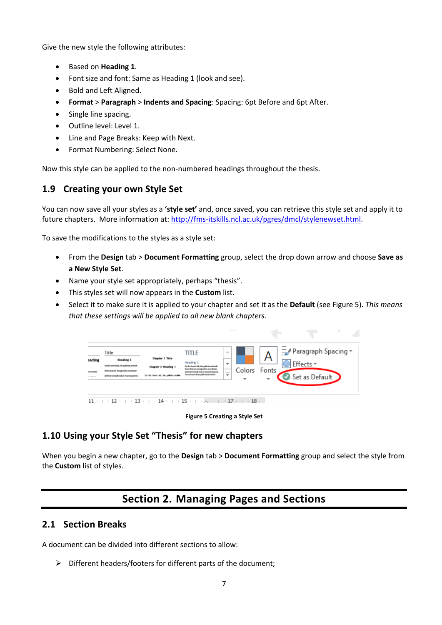Give the new style the following attributes:

- Based on **Heading 1**.
- Font size and font: Same as Heading 1 (look and see).
- Bold and Left Aligned.
- **Format** > **Paragraph** > **Indents and Spacing**: Spacing: 6pt Before and 6pt After.
- Single line spacing.
- Outline level: Level 1.
- Line and Page Breaks: Keep with Next.
- Format Numbering: Select None.

Now this style can be applied to the non-numbered headings throughout the thesis.

#### <span id="page-7-0"></span>**1.9 Creating your own Style Set**

You can now save all your styles as a **'style set'** and, once saved, you can retrieve this style set and apply it to future chapters. More information at[: http://fms-itskills.ncl.ac.uk/pgres/dmcl/stylenewset.html.](http://fms-itskills.ncl.ac.uk/pgres/dmcl/stylenewset.html)

To save the modifications to the styles as a style set:

- From the **Design** tab > **Document Formatting** group, select the drop down arrow and choose **Save as a New Style Set**.
- Name your style set appropriately, perhaps "thesis".
- This styles set will now appears in the **Custom** list.
- Select it to make sure it is applied to your chapter and set it as the **Default** (see [Figure 5\)](#page-7-4). *This means that these settings will be applied to all new blank chapters.*



**Figure 5 Creating a Style Set**

#### <span id="page-7-4"></span><span id="page-7-1"></span>**1.10 Using your Style Set "Thesis" for new chapters**

<span id="page-7-2"></span>When you begin a new chapter, go to the **Design** tab > **Document Formatting** group and select the style from the **Custom** list of styles.

# **Section 2. Managing Pages and Sections**

#### <span id="page-7-3"></span>**2.1 Section Breaks**

A document can be divided into different sections to allow:

 $\triangleright$  Different headers/footers for different parts of the document;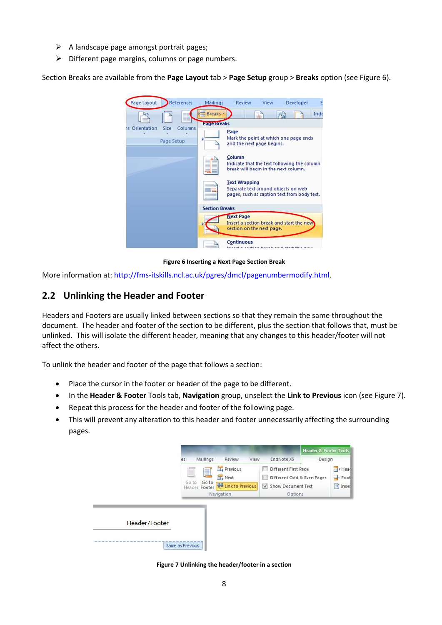- $\triangleright$  A landscape page amongst portrait pages;
- $\triangleright$  Different page margins, columns or page numbers.

Section Breaks are available from the **Page Layout** tab > **Page Setup** group > **Breaks** option (see [Figure 6\)](#page-8-1).



**Figure 6 Inserting a Next Page Section Break**

<span id="page-8-1"></span>More information at[: http://fms-itskills.ncl.ac.uk/pgres/dmcl/pagenumbermodify.html.](http://fms-itskills.ncl.ac.uk/pgres/dmcl/pagenumbermodify.html)

#### <span id="page-8-0"></span>**2.2 Unlinking the Header and Footer**

Headers and Footers are usually linked between sections so that they remain the same throughout the document. The header and footer of the section to be different, plus the section that follows that, must be unlinked. This will isolate the different header, meaning that any changes to this header/footer will not affect the others.

To unlink the header and footer of the page that follows a section:

- Place the cursor in the footer or header of the page to be different.
- In the **Header & Footer** Tools tab, **Navigation** group, unselect the **Link to Previous** icon (se[e Figure 7\)](#page-8-2).
- Repeat this process for the header and footer of the following page.
- This will prevent any alteration to this header and footer unnecessarily affecting the surrounding pages.

<span id="page-8-2"></span>

**Figure 7 Unlinking the header/footer in a section**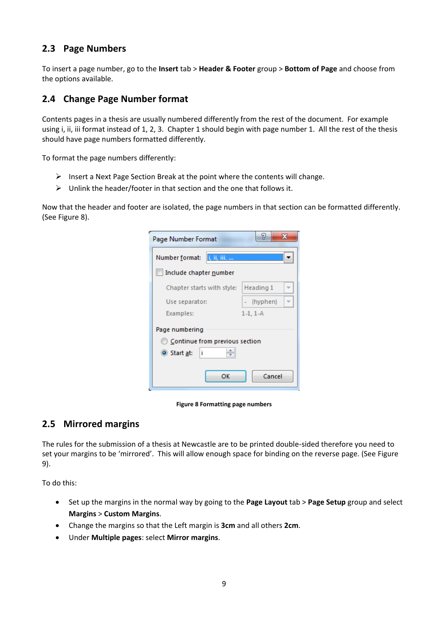## <span id="page-9-0"></span>**2.3 Page Numbers**

To insert a page number, go to the **Insert** tab > **Header & Footer** group > **Bottom of Page** and choose from the options available.

### <span id="page-9-1"></span>**2.4 Change Page Number format**

Contents pages in a thesis are usually numbered differently from the rest of the document. For example using i, ii, iii format instead of 1, 2, 3. Chapter 1 should begin with page number 1. All the rest of the thesis should have page numbers formatted differently.

To format the page numbers differently:

- $\triangleright$  Insert a Next Page Section Break at the point where the contents will change.
- $\triangleright$  Unlink the header/footer in that section and the one that follows it.

Now that the header and footer are isolated, the page numbers in that section can be formatted differently. (See [Figure 8\)](#page-9-3).

| Page Number Format             | 2<br>х     |  |  |  |
|--------------------------------|------------|--|--|--|
| li, ii, iii,<br>Number format: |            |  |  |  |
| Include chapter number         |            |  |  |  |
| Chapter starts with style:     | Heading 1  |  |  |  |
| Use separator:                 | - (hyphen) |  |  |  |
| Examples:                      | $1-1.1-A$  |  |  |  |
| Page numbering                 |            |  |  |  |
| Continue from previous section |            |  |  |  |
| i<br>Start at:                 |            |  |  |  |
|                                |            |  |  |  |
| ОΚ                             | Cancel     |  |  |  |

**Figure 8 Formatting page numbers**

#### <span id="page-9-3"></span><span id="page-9-2"></span>**2.5 Mirrored margins**

The rules for the submission of a thesis at Newcastle are to be printed double-sided therefore you need to set your margins to be 'mirrored'. This will allow enough space for binding on the reverse page. (See [Figure](#page-10-0)  [9\)](#page-10-0).

To do this:

- Set up the margins in the normal way by going to the **Page Layout** tab > **Page Setup** group and select **Margins** > **Custom Margins**.
- Change the margins so that the Left margin is **3cm** and all others **2cm**.
- Under **Multiple pages**: select **Mirror margins**.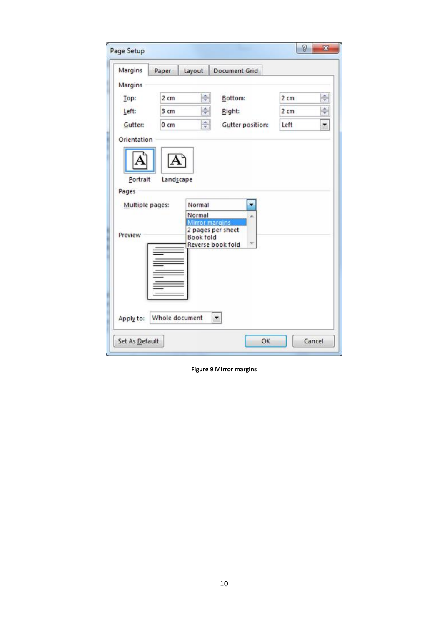| Margins         | Paper           | Layout                         | <b>Document Grid</b>                |                 |                             |
|-----------------|-----------------|--------------------------------|-------------------------------------|-----------------|-----------------------------|
| Margins         |                 |                                |                                     |                 |                             |
| Top:            | 2 <sub>cm</sub> | $\frac{\star}{\tau}$           | Bottom:                             | 2 cm            | $\frac{1}{x}$               |
| Left:           | 3 cm            | $\frac{\triangle}{\mathbf{v}}$ | Right:                              | 2 <sub>cm</sub> | $\frac{\text{A}}{\text{v}}$ |
| Gutter:         | $0 \text{ cm}$  | $\frac{\triangle}{\tau}$       | Gutter position:                    | Left            | $\overline{\phantom{a}}$    |
| Orientation     |                 |                                |                                     |                 |                             |
|                 |                 |                                |                                     |                 |                             |
|                 |                 |                                |                                     |                 |                             |
|                 |                 |                                |                                     |                 |                             |
| Portrait        | Landscape       |                                |                                     |                 |                             |
| Pages           |                 |                                |                                     |                 |                             |
|                 |                 |                                |                                     |                 |                             |
| Multiple pages: |                 | Normal                         | ۰                                   |                 |                             |
|                 |                 | Normal                         | à.                                  |                 |                             |
|                 |                 |                                | Mirror margins<br>2 pages per sheet |                 |                             |
| Preview         |                 | <b>Book fold</b>               |                                     |                 |                             |
|                 |                 |                                | Reverse book fold                   |                 |                             |
|                 |                 |                                |                                     |                 |                             |
|                 |                 |                                |                                     |                 |                             |
|                 |                 |                                |                                     |                 |                             |
|                 |                 |                                |                                     |                 |                             |
|                 |                 |                                |                                     |                 |                             |

<span id="page-10-0"></span>**Figure 9 Mirror margins**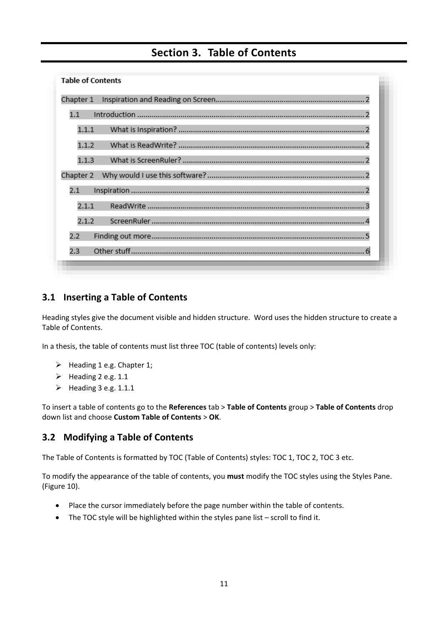# <span id="page-11-0"></span>**Section 3. Table of Contents**

| <b>Table of Contents</b> |
|--------------------------|
| Chapter 1                |
| 1.1                      |
| 1.1.1                    |
| 1.1.2                    |
| 1.1.3                    |
| Chapter 2                |
| 2.1                      |
| 2.1.1                    |
| 2.1.2                    |
| 2.2                      |
| Other stuff<br>2.3       |

## <span id="page-11-1"></span>**3.1 Inserting a Table of Contents**

Heading styles give the document visible and hidden structure. Word uses the hidden structure to create a Table of Contents.

In a thesis, the table of contents must list three TOC (table of contents) levels only:

- $\triangleright$  Heading 1 e.g. Chapter 1;
- $\blacktriangleright$  Heading 2 e.g. 1.1
- $\blacktriangleright$  Heading 3 e.g. 1.1.1

To insert a table of contents go to the **References** tab > **Table of Contents** group > **Table of Contents** drop down list and choose **Custom Table of Contents** > **OK**.

#### <span id="page-11-2"></span>**3.2 Modifying a Table of Contents**

The Table of Contents is formatted by TOC (Table of Contents) styles: TOC 1, TOC 2, TOC 3 etc.

To modify the appearance of the table of contents, you **must** modify the TOC styles using the Styles Pane. [\(Figure 10\)](#page-12-4).

- Place the cursor immediately before the page number within the table of contents.
- The TOC style will be highlighted within the styles pane list scroll to find it.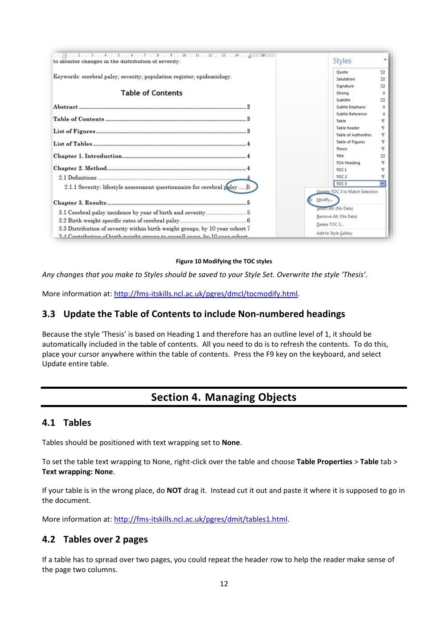| to monitor changes in the distribution of severity.                                                                                                                                                                                                  | Styles                                      |                       |  |  |
|------------------------------------------------------------------------------------------------------------------------------------------------------------------------------------------------------------------------------------------------------|---------------------------------------------|-----------------------|--|--|
| Keywords: cerebral palsy; severity; population register; epidemiology.                                                                                                                                                                               | Quote<br>Salutation                         | 13<br>53<br><b>fa</b> |  |  |
| <b>Table of Contents</b>                                                                                                                                                                                                                             | Signature<br>Strong                         | a                     |  |  |
|                                                                                                                                                                                                                                                      | Subtitle<br>Subtle Emphasis                 | 53<br>ä               |  |  |
|                                                                                                                                                                                                                                                      | Subtle Reference<br>Table                   | a<br>٩ī               |  |  |
|                                                                                                                                                                                                                                                      | Table header<br><b>Table of Authorities</b> |                       |  |  |
|                                                                                                                                                                                                                                                      | Table of Figures<br><b>Thesis</b>           | T<br>۳                |  |  |
|                                                                                                                                                                                                                                                      | Title<br><b>TOA Heading</b>                 | 59                    |  |  |
|                                                                                                                                                                                                                                                      | TOC <sub>1</sub>                            |                       |  |  |
| 2.1.1 Severity: lifestyle assessment questionnaire for cerebral palsy 5                                                                                                                                                                              | TOC <sub>2</sub><br>TOC <sub>3</sub>        | च                     |  |  |
|                                                                                                                                                                                                                                                      | Undate TOC 3 to Match Selection<br>Modify   |                       |  |  |
| Serect All: (No Data)<br>Remove All: (No Data)<br>Delete TOC 3<br>3.3 Distribution of severity within birth weight groups, by 10 year cohort 7<br>Add to Style Gallery<br>2.4 Contribution of birth woight groups to grovell goses by 10 year ophort |                                             |                       |  |  |

#### **Figure 10 Modifying the TOC styles**

<span id="page-12-4"></span>*Any changes that you make to Styles should be saved to your Style Set. Overwrite the style 'Thesis'.*

More information at[: http://fms-itskills.ncl.ac.uk/pgres/dmcl/tocmodify.html.](http://fms-itskills.ncl.ac.uk/pgres/dmcl/tocmodify.html)

#### <span id="page-12-0"></span>**3.3 Update the Table of Contents to include Non-numbered headings**

Because the style 'Thesis' is based on Heading 1 and therefore has an outline level of 1, it should be automatically included in the table of contents. All you need to do is to refresh the contents. To do this, place your cursor anywhere within the table of contents. Press the F9 key on the keyboard, and select Update entire table.

# **Section 4. Managing Objects**

#### <span id="page-12-2"></span><span id="page-12-1"></span>**4.1 Tables**

Tables should be positioned with text wrapping set to **None**.

To set the table text wrapping to None, right-click over the table and choose **Table Properties** > **Table** tab > **Text wrapping: None**.

If your table is in the wrong place, do **NOT** drag it. Instead cut it out and paste it where it is supposed to go in the document.

More information at[: http://fms-itskills.ncl.ac.uk/pgres/dmit/tables1.html.](http://fms-itskills.ncl.ac.uk/pgres/dmit/tables1.html)

#### <span id="page-12-3"></span>**4.2 Tables over 2 pages**

If a table has to spread over two pages, you could repeat the header row to help the reader make sense of the page two columns.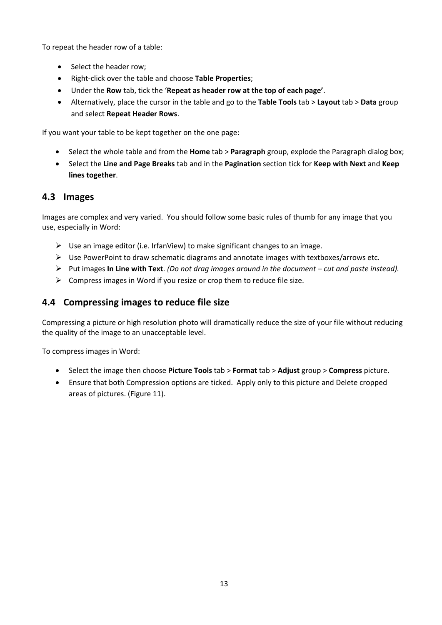To repeat the header row of a table:

- Select the header row;
- Right-click over the table and choose **Table Properties**;
- Under the **Row** tab, tick the '**Repeat as header row at the top of each page'**.
- Alternatively, place the cursor in the table and go to the **Table Tools** tab > **Layout** tab > **Data** group and select **Repeat Header Rows**.

If you want your table to be kept together on the one page:

- Select the whole table and from the **Home** tab > **Paragraph** group, explode the Paragraph dialog box;
- Select the **Line and Page Breaks** tab and in the **Pagination** section tick for **Keep with Next** and **Keep lines together**.

#### <span id="page-13-0"></span>**4.3 Images**

Images are complex and very varied. You should follow some basic rules of thumb for any image that you use, especially in Word:

- $\triangleright$  Use an image editor (i.e. IrfanView) to make significant changes to an image.
- $\triangleright$  Use PowerPoint to draw schematic diagrams and annotate images with textboxes/arrows etc.
- Put images **In Line with Text**. *(Do not drag images around in the document – cut and paste instead).*
- $\triangleright$  Compress images in Word if you resize or crop them to reduce file size.

## <span id="page-13-1"></span>**4.4 Compressing images to reduce file size**

Compressing a picture or high resolution photo will dramatically reduce the size of your file without reducing the quality of the image to an unacceptable level.

To compress images in Word:

- Select the image then choose **Picture Tools** tab > **Format** tab > **Adjust** group > **Compress** picture.
- Ensure that both Compression options are ticked. Apply only to this picture and Delete cropped areas of pictures. [\(Figure 11\)](#page-14-1).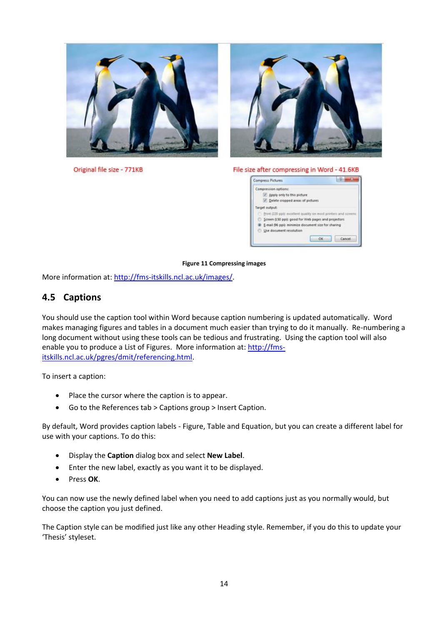

Original file size - 771KB



#### File size after compressing in Word - 41.6KB



#### **Figure 11 Compressing images**

<span id="page-14-1"></span>More information at[: http://fms-itskills.ncl.ac.uk/images/.](http://fms-itskills.ncl.ac.uk/images/)

#### <span id="page-14-0"></span>**4.5 Captions**

You should use the caption tool within Word because caption numbering is updated automatically. Word makes managing figures and tables in a document much easier than trying to do it manually. Re-numbering a long document without using these tools can be tedious and frustrating. Using the caption tool will also enable you to produce a List of Figures. More information at: [http://fms](http://fms-itskills.ncl.ac.uk/pgres/dmit/referencing.html)[itskills.ncl.ac.uk/pgres/dmit/referencing.html.](http://fms-itskills.ncl.ac.uk/pgres/dmit/referencing.html)

To insert a caption:

- Place the cursor where the caption is to appear.
- Go to the References tab > Captions group > Insert Caption.

By default, Word provides caption labels - Figure, Table and Equation, but you can create a different label for use with your captions. To do this:

- Display the **Caption** dialog box and select **New Label**.
- Enter the new label, exactly as you want it to be displayed.
- Press **OK**.

You can now use the newly defined label when you need to add captions just as you normally would, but choose the caption you just defined.

The Caption style can be modified just like any other Heading style. Remember, if you do this to update your 'Thesis' styleset.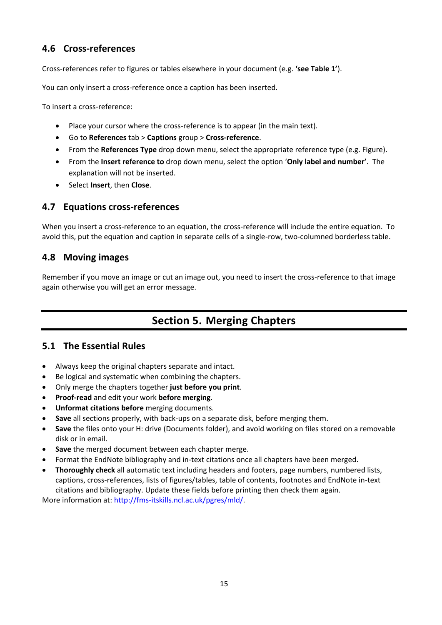## <span id="page-15-0"></span>**4.6 Cross-references**

Cross-references refer to figures or tables elsewhere in your document (e.g. **'see Table 1'**).

You can only insert a cross-reference once a caption has been inserted.

To insert a cross-reference:

- Place your cursor where the cross-reference is to appear (in the main text).
- Go to **References** tab > **Captions** group > **Cross-reference**.
- From the **References Type** drop down menu, select the appropriate reference type (e.g. Figure).
- From the **Insert reference to** drop down menu, select the option '**Only label and number'**. The explanation will not be inserted.
- Select **Insert**, then **Close**.

## <span id="page-15-1"></span>**4.7 Equations cross-references**

When you insert a cross-reference to an equation, the cross-reference will include the entire equation. To avoid this, put the equation and caption in separate cells of a single-row, two-columned borderless table.

#### <span id="page-15-2"></span>**4.8 Moving images**

<span id="page-15-3"></span>Remember if you move an image or cut an image out, you need to insert the cross-reference to that image again otherwise you will get an error message.

# **Section 5. Merging Chapters**

#### <span id="page-15-4"></span>**5.1 The Essential Rules**

- Always keep the original chapters separate and intact.
- Be logical and systematic when combining the chapters.
- Only merge the chapters together **just before you print**.
- **Proof-read** and edit your work **before merging**.
- **Unformat citations before** merging documents.
- **Save** all sections properly, with back-ups on a separate disk, before merging them.
- **Save** the files onto your H: drive (Documents folder), and avoid working on files stored on a removable disk or in email.
- **Save** the merged document between each chapter merge.
- Format the EndNote bibliography and in-text citations once all chapters have been merged.
- **Thoroughly check** all automatic text including headers and footers, page numbers, numbered lists, captions, cross-references, lists of figures/tables, table of contents, footnotes and EndNote in-text citations and bibliography. Update these fields before printing then check them again.

More information at[: http://fms-itskills.ncl.ac.uk/pgres/mld/.](http://fms-itskills.ncl.ac.uk/pgres/mld/)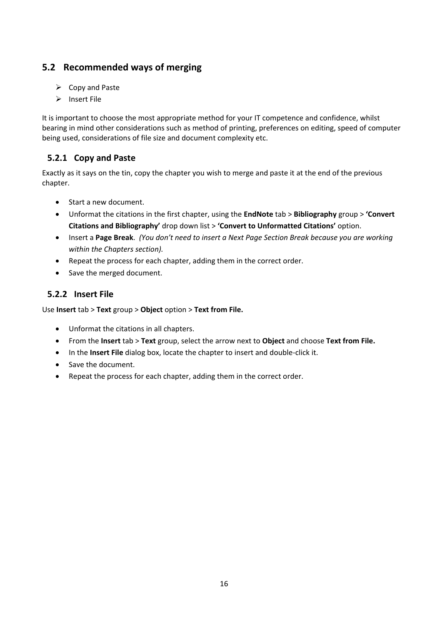## <span id="page-16-0"></span>**5.2 Recommended ways of merging**

- $\triangleright$  Copy and Paste
- $\triangleright$  Insert File

It is important to choose the most appropriate method for your IT competence and confidence, whilst bearing in mind other considerations such as method of printing, preferences on editing, speed of computer being used, considerations of file size and document complexity etc.

## <span id="page-16-1"></span>**5.2.1 Copy and Paste**

Exactly as it says on the tin, copy the chapter you wish to merge and paste it at the end of the previous chapter.

- Start a new document.
- Unformat the citations in the first chapter, using the **EndNote** tab > **Bibliography** group > **'Convert Citations and Bibliography'** drop down list > **'Convert to Unformatted Citations'** option.
- Insert a **Page Break**. *(You don't need to insert a Next Page Section Break because you are working within the Chapters section).*
- Repeat the process for each chapter, adding them in the correct order.
- Save the merged document.

#### <span id="page-16-2"></span>**5.2.2 Insert File**

Use **Insert** tab > **Text** group > **Object** option > **Text from File.**

- Unformat the citations in all chapters.
- From the **Insert** tab > **Text** group, select the arrow next to **Object** and choose **Text from File.**
- In the **Insert File** dialog box, locate the chapter to insert and double-click it.
- Save the document.
- Repeat the process for each chapter, adding them in the correct order.